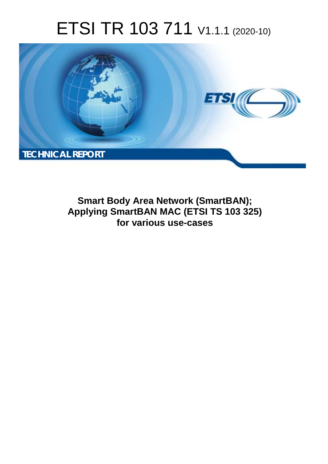# ETSI TR 103 711 V1.1.1 (2020-10)



**Smart Body Area Network (SmartBAN); Applying SmartBAN MAC (ETSI TS 103 325) for various use-cases**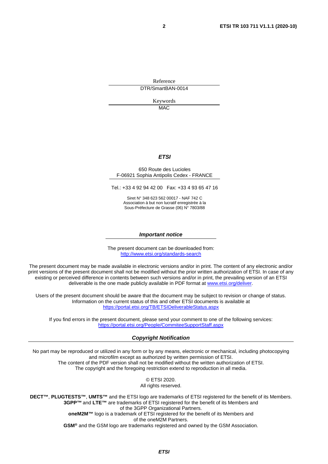Reference DTR/SmartBAN-0014

> Keywords **MAC**

### *ETSI*

#### 650 Route des Lucioles F-06921 Sophia Antipolis Cedex - FRANCE

Tel.: +33 4 92 94 42 00 Fax: +33 4 93 65 47 16

Siret N° 348 623 562 00017 - NAF 742 C Association à but non lucratif enregistrée à la Sous-Préfecture de Grasse (06) N° 7803/88

#### *Important notice*

The present document can be downloaded from: <http://www.etsi.org/standards-search>

The present document may be made available in electronic versions and/or in print. The content of any electronic and/or print versions of the present document shall not be modified without the prior written authorization of ETSI. In case of any existing or perceived difference in contents between such versions and/or in print, the prevailing version of an ETSI deliverable is the one made publicly available in PDF format at [www.etsi.org/deliver](http://www.etsi.org/deliver).

Users of the present document should be aware that the document may be subject to revision or change of status. Information on the current status of this and other ETSI documents is available at <https://portal.etsi.org/TB/ETSIDeliverableStatus.aspx>

If you find errors in the present document, please send your comment to one of the following services: <https://portal.etsi.org/People/CommiteeSupportStaff.aspx>

#### *Copyright Notification*

No part may be reproduced or utilized in any form or by any means, electronic or mechanical, including photocopying and microfilm except as authorized by written permission of ETSI. The content of the PDF version shall not be modified without the written authorization of ETSI. The copyright and the foregoing restriction extend to reproduction in all media.

> © ETSI 2020. All rights reserved.

**DECT™**, **PLUGTESTS™**, **UMTS™** and the ETSI logo are trademarks of ETSI registered for the benefit of its Members. **3GPP™** and **LTE™** are trademarks of ETSI registered for the benefit of its Members and of the 3GPP Organizational Partners. **oneM2M™** logo is a trademark of ETSI registered for the benefit of its Members and of the oneM2M Partners. **GSM®** and the GSM logo are trademarks registered and owned by the GSM Association.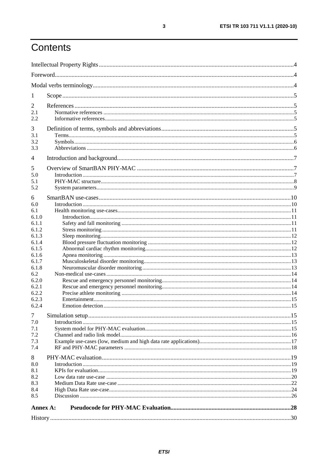# Contents

| 1              |  |
|----------------|--|
| 2              |  |
| 2.1            |  |
| 2.2            |  |
| 3              |  |
| 3.1            |  |
| 3.2            |  |
| 3.3            |  |
| 4              |  |
| 5              |  |
| 5.0            |  |
| 5.1            |  |
| 5.2            |  |
| 6              |  |
| 6.0            |  |
| 6.1            |  |
| 6.1.0          |  |
| 6.1.1          |  |
| 6.1.2          |  |
| 6.1.3          |  |
| 6.1.4<br>6.1.5 |  |
| 6.1.6          |  |
| 6.1.7          |  |
| 6.1.8          |  |
| 6.2            |  |
| 6.2.0          |  |
| 6.2.1          |  |
| 6.2.2          |  |
| 6.2.3          |  |
| 6.2.4          |  |
| $\tau$         |  |
| 7.0            |  |
| 7.1<br>7.2     |  |
| 7.3            |  |
| 7.4            |  |
| 8              |  |
| 8.0            |  |
| 8.1            |  |
| 8.2            |  |
| 8.3            |  |
| 8.4            |  |
| 8.5            |  |
| Annex A:       |  |
|                |  |
|                |  |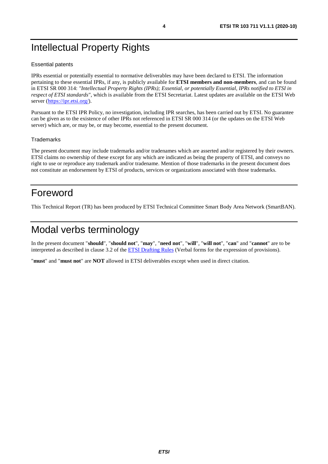# <span id="page-3-0"></span>Intellectual Property Rights

### Essential patents

IPRs essential or potentially essential to normative deliverables may have been declared to ETSI. The information pertaining to these essential IPRs, if any, is publicly available for **ETSI members and non-members**, and can be found in ETSI SR 000 314: *"Intellectual Property Rights (IPRs); Essential, or potentially Essential, IPRs notified to ETSI in respect of ETSI standards"*, which is available from the ETSI Secretariat. Latest updates are available on the ETSI Web server ([https://ipr.etsi.org/\)](https://ipr.etsi.org/).

Pursuant to the ETSI IPR Policy, no investigation, including IPR searches, has been carried out by ETSI. No guarantee can be given as to the existence of other IPRs not referenced in ETSI SR 000 314 (or the updates on the ETSI Web server) which are, or may be, or may become, essential to the present document.

### **Trademarks**

The present document may include trademarks and/or tradenames which are asserted and/or registered by their owners. ETSI claims no ownership of these except for any which are indicated as being the property of ETSI, and conveys no right to use or reproduce any trademark and/or tradename. Mention of those trademarks in the present document does not constitute an endorsement by ETSI of products, services or organizations associated with those trademarks.

# Foreword

This Technical Report (TR) has been produced by ETSI Technical Committee Smart Body Area Network (SmartBAN).

# Modal verbs terminology

In the present document "**should**", "**should not**", "**may**", "**need not**", "**will**", "**will not**", "**can**" and "**cannot**" are to be interpreted as described in clause 3.2 of the [ETSI Drafting Rules](https://portal.etsi.org/Services/editHelp!/Howtostart/ETSIDraftingRules.aspx) (Verbal forms for the expression of provisions).

"**must**" and "**must not**" are **NOT** allowed in ETSI deliverables except when used in direct citation.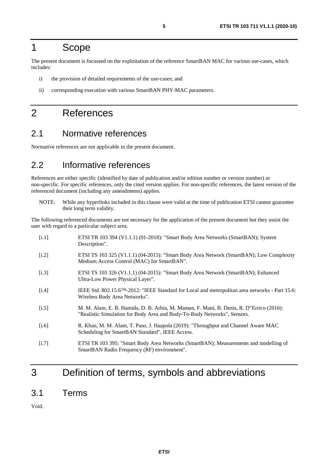# <span id="page-4-0"></span>1 Scope

The present document is focussed on the exploitation of the reference SmartBAN MAC for various use-cases, which includes:

- i) the provision of detailed requirements of the use-cases; and
- ii) corresponding execution with various SmartBAN PHY-MAC parameters.

# 2 References

### 2.1 Normative references

Normative references are not applicable in the present document.

### 2.2 Informative references

References are either specific (identified by date of publication and/or edition number or version number) or non-specific. For specific references, only the cited version applies. For non-specific references, the latest version of the referenced document (including any amendments) applies.

NOTE: While any hyperlinks included in this clause were valid at the time of publication ETSI cannot guarantee their long term validity.

The following referenced documents are not necessary for the application of the present document but they assist the user with regard to a particular subject area.

| [i.1]              | ETSI TR 103 394 (V1.1.1) (01-2018): "Smart Body Area Networks (SmartBAN); System<br>Description".                                                                   |
|--------------------|---------------------------------------------------------------------------------------------------------------------------------------------------------------------|
| [i.2]              | ETSI TS 103 325 (V1.1.1) (04-2015): "Smart Body Area Network (SmartBAN); Low Complexity<br>Medium Access Control (MAC) for SmartBAN".                               |
| [i.3]              | ETSI TS 103 326 (V1.1.1) (04-2015): "Smart Body Area Network (SmartBAN); Enhanced<br>Ultra-Low Power Physical Layer".                                               |
| $\left[1.4\right]$ | IEEE Std. 802.15.6 <sup>TM</sup> -2012: "IEEE Standard for Local and metropolitan area networks - Part 15.6:<br>Wireless Body Area Networks".                       |
| $[1.5]$            | M. M. Alam, E. B. Hamida, D. B. Arbia, M. Maman, F. Mani, B. Denis, R. D"Errico (2016):<br>"Realistic Simulation for Body Area and Body-To-Body Networks", Sensors. |
| [i.6]              | R. Khan, M. M. Alam, T. Paso, J. Haapola (2019): "Throughput and Channel Aware MAC<br>Scheduling for SmartBAN Standard", IEEE Access.                               |
| [i.7]              | ETSI TR 103 395: "Smart Body Area Networks (SmartBAN); Measurements and modelling of<br>SmartBAN Radio Frequency (RF) environment".                                 |
|                    |                                                                                                                                                                     |

# 3 Definition of terms, symbols and abbreviations

### 3.1 Terms

Void.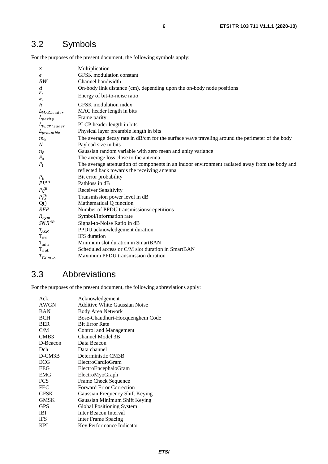# <span id="page-5-0"></span>3.2 Symbols

For the purposes of the present document, the following symbols apply:

| $\times$             | Multiplication                                                                                  |
|----------------------|-------------------------------------------------------------------------------------------------|
| $\epsilon$           | <b>GFSK</b> modulation constant                                                                 |
| BW                   | Channel bandwidth                                                                               |
| d                    | On-body link distance (cm), depending upon the on-body node positions                           |
| $E_b$<br>$N_{\rm 0}$ | Energy of bit-to-noise ratio                                                                    |
| $\boldsymbol{h}$     | GFSK modulation index                                                                           |
| $L_{MACHeader}$      | MAC header length in bits                                                                       |
| $L_{parity}$         | Frame parity                                                                                    |
| $L_{PLCP header}$    | PLCP header length in bits                                                                      |
| $L_{preamble}$       | Physical layer preamble length in bits                                                          |
| m <sub>0</sub>       | The average decay rate in dB/cm for the surface wave traveling around the perimeter of the body |
| N                    | Payload size in bits                                                                            |
| $n_{P}$              | Gaussian random variable with zero mean and unity variance                                      |
| $P_0$                | The average loss close to the antenna                                                           |
| $P_1$                | The average attenuation of components in an indoor environment radiated away from the body and  |
|                      | reflected back towards the receiving antenna                                                    |
| $P_b$                | Bit error probability                                                                           |
| $PL^{dB}$            | Pathloss in dB                                                                                  |
| $P_N^{dB}$           | Receiver Sensitivity                                                                            |
| $P^{dB}_{Tx}$        | Transmission power level in dB                                                                  |
| Q()                  | Mathematical Q function                                                                         |
| <b>REP</b>           | Number of PPDU transmissions/repetitions                                                        |
| $R_{sym}$            | Symbol/Information rate                                                                         |
| $SNR^{dB}$           | Signal-to-Noise Ratio in dB                                                                     |
| $T_{ACK}$            | PPDU acknowledgement duration                                                                   |
| $T_{IFS}$            | IFS duration                                                                                    |
| $T_{min}$            | Minimum slot duration in SmartBAN                                                               |
| $T_{slot}$           | Scheduled access or C/M slot duration in SmartBAN                                               |
| $T_{TX,max}$         | Maximum PPDU transmission duration                                                              |

# 3.3 Abbreviations

For the purposes of the present document, the following abbreviations apply:

| Ack.        | Acknowledgement                      |
|-------------|--------------------------------------|
| AWGN        | <b>Additive White Gaussian Noise</b> |
| <b>BAN</b>  | <b>Body Area Network</b>             |
| <b>BCH</b>  | Bose-Chaudhuri-Hocquenghem Code      |
| <b>BER</b>  | <b>Bit Error Rate</b>                |
| C/M         | Control and Management               |
| CMB3        | Channel Model 3B                     |
| D-Beacon    | Data Beacon                          |
| Dch         | Data channel                         |
| $D-CM3B$    | Deterministic CM3B                   |
| ECG         | ElectroCardioGram                    |
| <b>EEG</b>  | ElectroEncephaloGram                 |
| <b>EMG</b>  | ElectroMyoGraph                      |
| <b>FCS</b>  | Frame Check Sequence                 |
| <b>FEC</b>  | <b>Forward Error Correction</b>      |
| <b>GFSK</b> | Gaussian Frequency Shift Keying      |
| <b>GMSK</b> | Gaussian Minimum Shift Keying        |
| <b>GPS</b>  | Global Positioning System            |
| <b>IBI</b>  | <b>Inter Beacon Interval</b>         |
| <b>IFS</b>  | Inter Frame Spacing                  |
| <b>KPI</b>  | Key Performance Indicator            |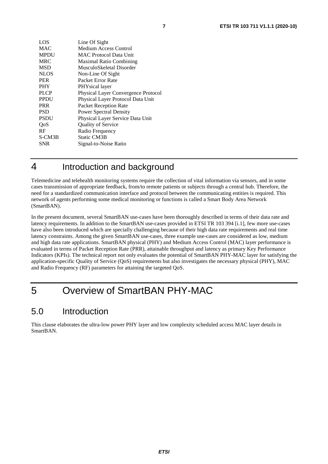<span id="page-6-0"></span>

| LOS         | Line Of Sight                       |
|-------------|-------------------------------------|
| <b>MAC</b>  | Medium Access Control               |
| <b>MPDU</b> | <b>MAC Protocol Data Unit</b>       |
| <b>MRC</b>  | <b>Maximal Ratio Combining</b>      |
| <b>MSD</b>  | MusculoSkeletal Disorder            |
| <b>NLOS</b> | Non-Line Of Sight                   |
| <b>PER</b>  | Packet Error Rate                   |
| <b>PHY</b>  | PHYsical layer                      |
| <b>PLCP</b> | Physical Layer Convergence Protocol |
| <b>PPDU</b> | Physical Layer Protocol Data Unit   |
| <b>PRR</b>  | Packet Reception Rate               |
| <b>PSD</b>  | <b>Power Spectral Density</b>       |
| <b>PSDU</b> | Physical Layer Service Data Unit    |
| OoS         | Quality of Service                  |
| <b>RF</b>   | Radio Frequency                     |
| S-CM3B      | <b>Static CM3B</b>                  |
| <b>SNR</b>  | Signal-to-Noise Ratio               |
|             |                                     |

# 4 Introduction and background

Telemedicine and telehealth monitoring systems require the collection of vital information via sensors, and in some cases transmission of appropriate feedback, from/to remote patients or subjects through a central hub. Therefore, the need for a standardized communication interface and protocol between the communicating entities is required. This network of agents performing some medical monitoring or functions is called a Smart Body Area Network (SmartBAN).

In the present document, several SmartBAN use-cases have been thoroughly described in terms of their data rate and latency requirements. In addition to the SmartBAN use-cases provided in ETSI TR 103 394 [\[i.1\]](#page-4-0), few more use-cases have also been introduced which are specially challenging because of their high data rate requirements and real time latency constraints. Among the given SmartBAN use-cases, three example use-cases are considered as low, medium and high data rate applications. SmartBAN physical (PHY) and Medium Access Control (MAC) layer performance is evaluated in terms of Packet Reception Rate (PRR), attainable throughput and latency as primary Key Performance Indicators (KPIs). The technical report not only evaluates the potential of SmartBAN PHY-MAC layer for satisfying the application-specific Quality of Service (QoS) requirements but also investigates the necessary physical (PHY), MAC and Radio Frequency (RF) parameters for attaining the targeted QoS.

# 5 Overview of SmartBAN PHY-MAC

# 5.0 Introduction

This clause elaborates the ultra-low power PHY layer and low complexity scheduled access MAC layer details in SmartBAN.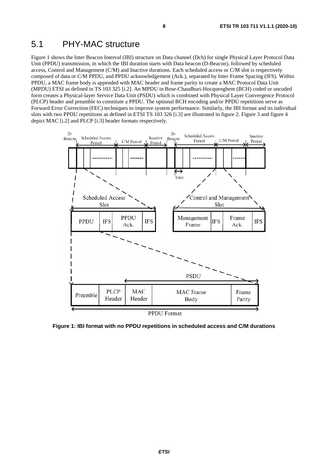# <span id="page-7-0"></span>5.1 PHY-MAC structure

Figure 1 shows the Inter Beacon Interval (IBI) structure on Data channel (Dch) for single Physical Layer Protocol Data Unit (PPDU) transmission, in which the IBI duration starts with Data beacon (D-Beacon), followed by scheduled access, Control and Management (C/M) and Inactive durations. Each scheduled access or C/M slot is respectively composed of data or C/M PPDU, and PPDU acknowledgement (Ack.), separated by Inter Frame Spacing (IFS). Within PPDU, a MAC frame body is appended with MAC header and frame parity to create a MAC Protocol Data Unit (MPDU) ETSI as defined in TS 103 325 [\[i.2](#page-4-0)]. An MPDU in Bose-Chaudhuri-Hocquenghem (BCH) coded or uncoded form creates a Physical-layer Service Data Unit (PSDU) which is combined with Physical Layer Convergence Protocol (PLCP) header and preamble to constitute a PPDU. The optional BCH encoding and/or PPDU repetitions serve as Forward Error Correction (FEC) techniques to improve system performance. Similarly, the IBI format and its individual slots with two PPDU repetitions as defined in ETSI TS 103 326 [[i.3\]](#page-4-0) are illustrated in figure 2. Figure 3 and figure 4 depict MAC [\[i.2\]](#page-4-0) and PLCP [[i.3](#page-4-0)] header formats respectively.



**Figure 1: IBI format with no PPDU repetitions in scheduled access and C/M durations**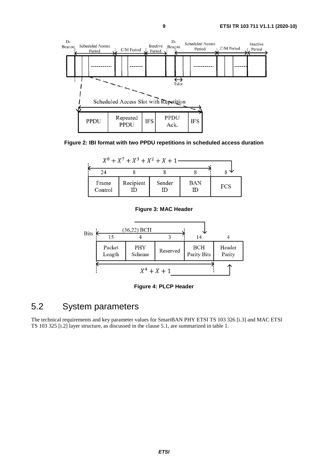<span id="page-8-0"></span>

**Figure 2: IBI format with two PPDU repetitions in scheduled access duration**

| $X^8 + X^7 + X^3 + X^2 + X + 1$ — |           |             |                  |            |
|-----------------------------------|-----------|-------------|------------------|------------|
|                                   |           |             |                  |            |
| Frame<br>Control                  | Recipient | Sender<br>ш | <b>BAN</b><br>ID | <b>FCS</b> |

#### **Figure 3: MAC Header**



**Figure 4: PLCP Header**

# 5.2 System parameters

The technical requirements and key parameter values for SmartBAN PHY ETSI TS 103 326 [[i.3](#page-4-0)] and MAC ETSI TS 103 325 [\[i.2](#page-4-0)] layer structure, as discussed in the clause 5.1, are summarized in table 1.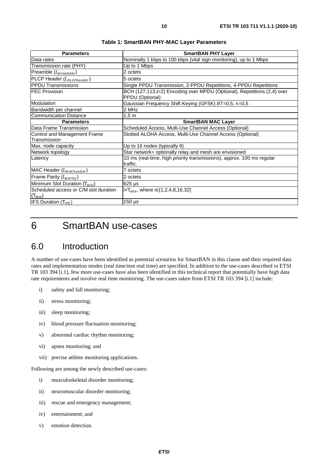<span id="page-9-0"></span>

| <b>Parameters</b>                         | <b>SmartBAN PHY Layer</b>                                                                  |
|-------------------------------------------|--------------------------------------------------------------------------------------------|
| Data rates                                | Nominally 1 kbps to 100 kbps (vital sign monitoring), up to 1 Mbps                         |
| Transmission rate (PHY)                   | Up to 1 Mbps                                                                               |
| $Preamble (L_{preamble})$                 | 2 octets                                                                                   |
| PLCP Header (L <sub>PLC Pheader</sub> )   | 5 octets                                                                                   |
| <b>PPDU Transmissions</b>                 | Single PPDU Transmission, 2-PPDU Repetitions, 4-PPDU Repetitions                           |
| <b>FEC Provision</b>                      | BCH (127,113,t=2) Encoding over MPDU (Optional), Repetitions (2,4) over<br>PPDU (Optional) |
| Modulation                                | Gaussian Frequency Shift Keying (GFSK) BT=0,5, h=0,5                                       |
| Bandwidth per channel                     | 2 MHz                                                                                      |
| <b>Communication Distance</b>             | $1,5 \text{ m}$                                                                            |
| <b>Parameters</b>                         | <b>SmartBAN MAC Layer</b>                                                                  |
| Data Frame Transmission                   | Scheduled Access, Multi-Use Channel Access (Optional)                                      |
| Control and Management Frame              | Slotted ALOHA Access, Multi-Use Channel Access (Optional)                                  |
| Transmission                              |                                                                                            |
| Max. node capacity                        | Up to 16 nodes (typically 8)                                                               |
| Network topology                          | Star network+ optionally relay and mesh are envisioned                                     |
| Latency                                   | 10 ms (real-time, high priority transmissions), approx. 100 ms regular<br>traffic.         |
| MAC Header (L <sub>MACheader</sub> )      | 7 octets                                                                                   |
| Frame Parity $(L_{parity})$               | 2 octets                                                                                   |
| Minimum Slot Duration (T <sub>min</sub> ) | $625 \mu s$                                                                                |
| Scheduled access or C/M slot duration     | ix $T_{\min}$ , where i $\in \{1, 2, 4, 8, 16, 32\}$                                       |
| $(T_{slot})$                              |                                                                                            |
| <b>IFS Duration</b> $(T_{IFS})$           | $150 \,\mathrm{\mu s}$                                                                     |

**Table 1: SmartBAN PHY-MAC Layer Parameters** 

# 6 SmartBAN use-cases

# 6.0 Introduction

A number of use-cases have been identified as potential scenarios for SmartBAN in this clause and their required data rates and implementation modes (real time/non real time) are specified. In addition to the use-cases described in ETSI TR 103 394 [\[i.1](#page-4-0)], few more use-cases have also been identified in this technical report that potentially have high data rate requirements and involve real time monitoring. The use-cases taken from ETSI TR 103 394 [\[i.1](#page-4-0)] include:

- i) safety and fall monitoring;
- ii) stress monitoring;
- iii) sleep monitoring;
- iv) blood pressure fluctuation monitoring;
- v) abnormal cardiac rhythm monitoring;
- vi) apnea monitoring; and
- vii) precise athlete monitoring applications.

Following are among the newly described use-cases:

- i) musculoskeletal disorder monitoring;
- ii) neuromuscular disorder monitoring;
- iii) rescue and emergency management;
- iv) entertainment; and
- v) emotion detection.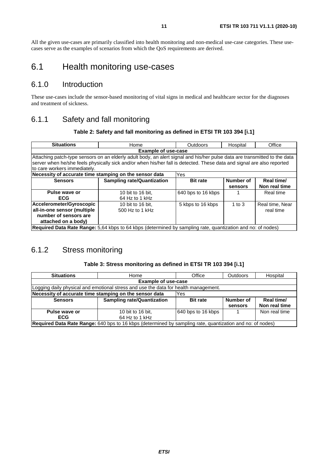<span id="page-10-0"></span>All the given use-cases are primarily classified into health monitoring and non-medical use-case categories. These usecases serve as the examples of scenarios from which the QoS requirements are derived.

# 6.1 Health monitoring use-cases

### 6.1.0 Introduction

These use-cases include the sensor-based monitoring of vital signs in medical and healthcare sector for the diagnoses and treatment of sickness.

### 6.1.1 Safety and fall monitoring

### **Table 2: Safety and fall monitoring as defined in ETSI TR 103 394 [[i.1](#page-4-0)]**

| <b>Situations</b>                                                                                                                                                                                                                                                                   | Home                                                          | Outdoors           | Hospital             | Office                       |  |  |  |
|-------------------------------------------------------------------------------------------------------------------------------------------------------------------------------------------------------------------------------------------------------------------------------------|---------------------------------------------------------------|--------------------|----------------------|------------------------------|--|--|--|
|                                                                                                                                                                                                                                                                                     | <b>Example of use-case</b>                                    |                    |                      |                              |  |  |  |
| Attaching patch-type sensors on an elderly adult body, an alert signal and his/her pulse data are transmitted to the data<br>server when he/she feels physically sick and/or when his/her fall is detected. These data and signal are also reported<br>to care workers immediately. |                                                               |                    |                      |                              |  |  |  |
|                                                                                                                                                                                                                                                                                     | Necessity of accurate time stamping on the sensor data<br>Yes |                    |                      |                              |  |  |  |
| <b>Sensors</b>                                                                                                                                                                                                                                                                      | <b>Sampling rate/Quantization</b>                             | <b>Bit rate</b>    | Number of<br>sensors | Real time/<br>Non real time  |  |  |  |
| Pulse wave or<br><b>ECG</b>                                                                                                                                                                                                                                                         | 10 bit to 16 bit.<br>64 Hz to 1 kHz                           | 640 bps to 16 kbps |                      | Real time                    |  |  |  |
| Accelerometer/Gyroscopic<br>all-in-one sensor (multiple<br>number of sensors are<br>attached on a body)                                                                                                                                                                             | 10 bit to 16 bit.<br>500 Hz to 1 kHz                          | 5 kbps to 16 kbps  | 1 to $3$             | Real time, Near<br>real time |  |  |  |
| <b>Required Data Rate Range:</b> 5.64 kbps to 64 kbps (determined by sampling rate, quantization and no: of nodes)                                                                                                                                                                  |                                                               |                    |                      |                              |  |  |  |

### 6.1.2 Stress monitoring

### **Table 3: Stress monitoring as defined in ETSI TR 103 394 [\[i.1\]](#page-4-0)**

| <b>Situations</b>                                                                                         | Home                                                                                | Office             | <b>Outdoors</b> | Hospital      |  |  |  |
|-----------------------------------------------------------------------------------------------------------|-------------------------------------------------------------------------------------|--------------------|-----------------|---------------|--|--|--|
|                                                                                                           | <b>Example of use-case</b>                                                          |                    |                 |               |  |  |  |
|                                                                                                           | Logging daily physical and emotional stress and use the data for health management. |                    |                 |               |  |  |  |
|                                                                                                           | Necessity of accurate time stamping on the sensor data<br>Yes                       |                    |                 |               |  |  |  |
| <b>Sensors</b>                                                                                            | <b>Sampling rate/Quantization</b>                                                   | <b>Bit rate</b>    | Number of       | Real time/    |  |  |  |
|                                                                                                           |                                                                                     |                    | sensors         | Non real time |  |  |  |
| Pulse wave or                                                                                             | 10 bit to 16 bit.                                                                   | 640 bps to 16 kbps |                 | Non real time |  |  |  |
| <b>ECG</b>                                                                                                | 64 Hz to 1 kHz                                                                      |                    |                 |               |  |  |  |
| Required Data Rate Range: 640 bps to 16 kbps (determined by sampling rate, quantization and no: of nodes) |                                                                                     |                    |                 |               |  |  |  |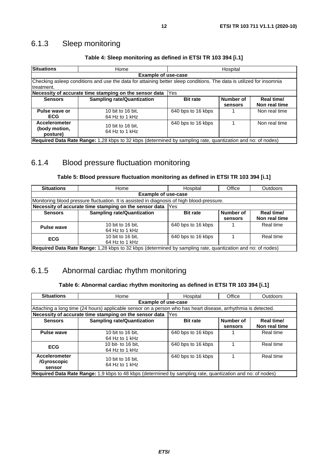# <span id="page-11-0"></span>6.1.3 Sleep monitoring

| <b>Situations</b>                                                                                           | Home                                                                                                                 | Hospital           |           |               |  |  |  |  |
|-------------------------------------------------------------------------------------------------------------|----------------------------------------------------------------------------------------------------------------------|--------------------|-----------|---------------|--|--|--|--|
|                                                                                                             | <b>Example of use-case</b>                                                                                           |                    |           |               |  |  |  |  |
|                                                                                                             | Checking asleep conditions and use the data for attaining better sleep conditions. The data is utilized for insomnia |                    |           |               |  |  |  |  |
| Itreatment.                                                                                                 |                                                                                                                      |                    |           |               |  |  |  |  |
|                                                                                                             | Necessity of accurate time stamping on the sensor data                                                               | Yes                |           |               |  |  |  |  |
| <b>Sensors</b>                                                                                              | <b>Sampling rate/Quantization</b>                                                                                    | <b>Bit rate</b>    | Number of | Real time/    |  |  |  |  |
|                                                                                                             |                                                                                                                      |                    | sensors   | Non real time |  |  |  |  |
| Pulse wave or                                                                                               | 10 bit to 16 bit.                                                                                                    | 640 bps to 16 kbps |           | Non real time |  |  |  |  |
| <b>ECG</b>                                                                                                  | 64 Hz to 1 kHz                                                                                                       |                    |           |               |  |  |  |  |
| <b>Accelerometer</b>                                                                                        | 10 bit to 16 bit.                                                                                                    | 640 bps to 16 kbps |           | Non real time |  |  |  |  |
| (body motion,<br>posture)                                                                                   | 64 Hz to 1 kHz                                                                                                       |                    |           |               |  |  |  |  |
| Required Data Rate Range: 1,28 kbps to 32 kbps (determined by sampling rate, quantization and no: of nodes) |                                                                                                                      |                    |           |               |  |  |  |  |

### **Table 4: Sleep monitoring as defined in ETSI TR 103 394 [\[i.1](#page-4-0)]**

### 6.1.4 Blood pressure fluctuation monitoring

### **Table 5: Blood pressure fluctuation monitoring as defined in ETSI TR 103 394 [[i.1\]](#page-4-0)**

| <b>Situations</b>                                                                                           | Home                                                                                       | Hospital           | Office    | Outdoors      |
|-------------------------------------------------------------------------------------------------------------|--------------------------------------------------------------------------------------------|--------------------|-----------|---------------|
|                                                                                                             | <b>Example of use-case</b>                                                                 |                    |           |               |
|                                                                                                             | Monitoring blood pressure fluctuation. It is assisted in diagnosis of high blood-pressure. |                    |           |               |
|                                                                                                             | Necessity of accurate time stamping on the sensor data                                     | <b>Yes</b>         |           |               |
| <b>Sensors</b>                                                                                              | <b>Sampling rate/Quantization</b>                                                          | <b>Bit rate</b>    | Number of | Real time/    |
|                                                                                                             |                                                                                            |                    | sensors   | Non real time |
| Pulse wave                                                                                                  | 10 bit to 16 bit.                                                                          | 640 bps to 16 kbps |           | Real time     |
|                                                                                                             | 64 Hz to 1 kHz                                                                             |                    |           |               |
| <b>ECG</b>                                                                                                  | 10 bit to 16 bit.                                                                          | 640 bps to 16 kbps |           | Real time     |
|                                                                                                             | 64 Hz to 1 kHz                                                                             |                    |           |               |
| Required Data Rate Range: 1,28 kbps to 32 kbps (determined by sampling rate, quantization and no: of nodes) |                                                                                            |                    |           |               |

# 6.1.5 Abnormal cardiac rhythm monitoring

### **Table 6: Abnormal cardiac rhythm monitoring as defined in ETSI TR 103 394 [\[i.1\]](#page-4-0)**

| <b>Situations</b>                                                                                             | Home                                                   | Hospital           | Office               | <b>Outdoors</b>             |  |  |  |
|---------------------------------------------------------------------------------------------------------------|--------------------------------------------------------|--------------------|----------------------|-----------------------------|--|--|--|
| <b>Example of use-case</b>                                                                                    |                                                        |                    |                      |                             |  |  |  |
| Attaching a long time (24 hours) applicable sensor on a person who has heart disease, arrhythmia is detected. |                                                        |                    |                      |                             |  |  |  |
|                                                                                                               | Necessity of accurate time stamping on the sensor data | Yes                |                      |                             |  |  |  |
| <b>Sensors</b>                                                                                                | <b>Sampling rate/Quantization</b>                      | <b>Bit rate</b>    | Number of<br>sensors | Real time/<br>Non real time |  |  |  |
| <b>Pulse wave</b>                                                                                             | 10 bit to 16 bit.<br>64 Hz to 1 kHz                    | 640 bps to 16 kbps |                      | Real time                   |  |  |  |
| <b>ECG</b>                                                                                                    | 10 bit- to 16 bit.<br>64 Hz to 1 kHz                   | 640 bps to 16 kbps |                      | Real time                   |  |  |  |
| <b>Accelerometer</b><br>/Gyroscopic<br>sensor                                                                 | 10 bit to 16 bit.<br>64 Hz to 1 kHz                    | 640 bps to 16 kbps |                      | Real time                   |  |  |  |
| Required Data Rate Range: 1,9 kbps to 48 kbps (determined by sampling rate, quantization and no: of nodes)    |                                                        |                    |                      |                             |  |  |  |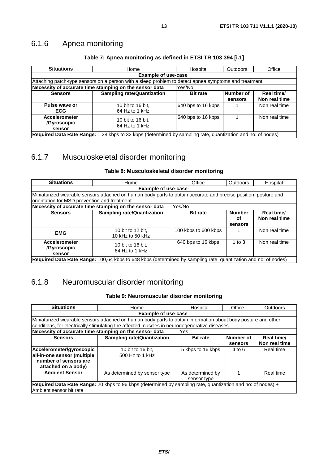# <span id="page-12-0"></span>6.1.6 Apnea monitoring

| <b>Situations</b>                                                                                           | Home                                                                                                  | Hospital           | <b>Outdoors</b> | Office        |  |  |
|-------------------------------------------------------------------------------------------------------------|-------------------------------------------------------------------------------------------------------|--------------------|-----------------|---------------|--|--|
|                                                                                                             | <b>Example of use-case</b>                                                                            |                    |                 |               |  |  |
|                                                                                                             | Attaching patch-type sensors on a person with a sleep problem to detect apnea symptoms and treatment. |                    |                 |               |  |  |
| Necessity of accurate time stamping on the sensor data<br>Yes/No                                            |                                                                                                       |                    |                 |               |  |  |
| <b>Sensors</b>                                                                                              | <b>Sampling rate/Quantization</b>                                                                     | <b>Bit rate</b>    | Number of       | Real time/    |  |  |
|                                                                                                             |                                                                                                       |                    | sensors         | Non real time |  |  |
| Pulse wave or                                                                                               | 10 bit to 16 bit.                                                                                     | 640 bps to 16 kbps |                 | Non real time |  |  |
| <b>ECG</b>                                                                                                  | 64 Hz to 1 kHz                                                                                        |                    |                 |               |  |  |
| <b>Accelerometer</b>                                                                                        | 10 bit to 16 bit.                                                                                     | 640 bps to 16 kbps |                 | Non real time |  |  |
| /Gyroscopic                                                                                                 | 64 Hz to 1 kHz                                                                                        |                    |                 |               |  |  |
| sensor                                                                                                      |                                                                                                       |                    |                 |               |  |  |
| Required Data Rate Range: 1,28 kbps to 32 kbps (determined by sampling rate, quantization and no: of nodes) |                                                                                                       |                    |                 |               |  |  |

### **Table 7: Apnea monitoring as defined in ETSI TR 103 394 [\[i.1\]](#page-4-0)**

# 6.1.7 Musculoskeletal disorder monitoring

### **Table 8: Musculoskeletal disorder monitoring**

| <b>Situations</b>                                                                                               | Home                                  | Office               | <b>Outdoors</b> | Hospital      |  |
|-----------------------------------------------------------------------------------------------------------------|---------------------------------------|----------------------|-----------------|---------------|--|
| <b>Example of use-case</b>                                                                                      |                                       |                      |                 |               |  |
| Miniaturized wearable sensors attached on human body parts to obtain accurate and precise position, posture and |                                       |                      |                 |               |  |
| orientation for MSD prevention and treatment.                                                                   |                                       |                      |                 |               |  |
| Necessity of accurate time stamping on the sensor data<br>Yes/No                                                |                                       |                      |                 |               |  |
| <b>Sensors</b>                                                                                                  | <b>Sampling rate/Quantization</b>     | <b>Bit rate</b>      | <b>Number</b>   | Real time/    |  |
|                                                                                                                 |                                       |                      | оf<br>sensors   | Non real time |  |
| <b>EMG</b>                                                                                                      | 10 bit to 12 bit.<br>10 kHz to 50 kHz | 100 kbps to 600 kbps |                 | Non real time |  |
| <b>Accelerometer</b><br>/Gyroscopic<br>sensor                                                                   | 10 bit to 16 bit.<br>64 Hz to 1 kHz   | 640 bps to 16 kbps   | 1 to $3$        | Non real time |  |
| Required Data Rate Range: 100,64 kbps to 648 kbps (determined by sampling rate, quantization and no: of nodes)  |                                       |                      |                 |               |  |

# 6.1.8 Neuromuscular disorder monitoring

### **Table 9: Neuromuscular disorder monitoring**

| <b>Situations</b>                                                                                           | Home                                                                                                          | Hospital          | Office    | Outdoors      |
|-------------------------------------------------------------------------------------------------------------|---------------------------------------------------------------------------------------------------------------|-------------------|-----------|---------------|
|                                                                                                             | <b>Example of use-case</b>                                                                                    |                   |           |               |
|                                                                                                             | Miniaturized wearable sensors attached on human body parts to obtain information about body posture and other |                   |           |               |
|                                                                                                             | conditions, for electrically stimulating the affected muscles in neurodegenerative diseases.                  |                   |           |               |
|                                                                                                             | Necessity of accurate time stamping on the sensor data                                                        | Yes               |           |               |
| <b>Sensors</b>                                                                                              | <b>Sampling rate/Quantization</b>                                                                             | <b>Bit rate</b>   | Number of | Real time/    |
|                                                                                                             |                                                                                                               |                   | sensors   | Non real time |
| Accelerometer/gyroscopic                                                                                    | 10 bit to 16 bit.                                                                                             | 5 kbps to 16 kbps | $4$ to 6  | Real time     |
| all-in-one sensor (multiple                                                                                 | 500 Hz to 1 kHz                                                                                               |                   |           |               |
| number of sensors are                                                                                       |                                                                                                               |                   |           |               |
| attached on a body)                                                                                         |                                                                                                               |                   |           |               |
| <b>Ambient Sensor</b>                                                                                       | As determined by sensor type                                                                                  | As determined by  |           | Real time     |
|                                                                                                             |                                                                                                               | sensor type       |           |               |
| Required Data Rate Range: 20 kbps to 96 kbps (determined by sampling rate, quantization and no: of nodes) + |                                                                                                               |                   |           |               |
| lAmbient sensor bit rate                                                                                    |                                                                                                               |                   |           |               |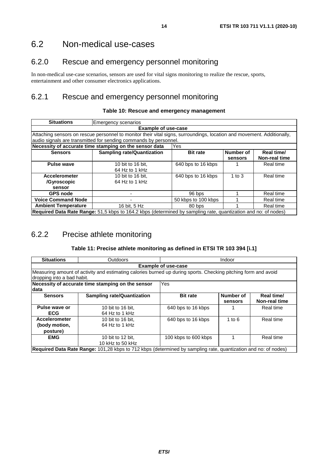$\sim$ 

# <span id="page-13-0"></span>6.2 Non-medical use-cases

### 6.2.0 Rescue and emergency personnel monitoring

In non-medical use-case scenarios, sensors are used for vital signs monitoring to realize the rescue, sports, entertainment and other consumer electronics applications.

### 6.2.1 Rescue and emergency personnel monitoring

| <b>Situations</b>                                                                                                                                                                          | <b>Emergency scenarios</b>                             |                     |                      |                                    |  |
|--------------------------------------------------------------------------------------------------------------------------------------------------------------------------------------------|--------------------------------------------------------|---------------------|----------------------|------------------------------------|--|
| <b>Example of use-case</b>                                                                                                                                                                 |                                                        |                     |                      |                                    |  |
| Attaching sensors on rescue personnel to monitor their vital signs, surroundings, location and movement. Additionally,<br>audio signals are transmitted for sending commands by personnel. |                                                        |                     |                      |                                    |  |
|                                                                                                                                                                                            | Necessity of accurate time stamping on the sensor data | Yes                 |                      |                                    |  |
| <b>Sensors</b>                                                                                                                                                                             | <b>Sampling rate/Quantization</b>                      | <b>Bit rate</b>     | Number of<br>sensors | Real time/<br><b>Non-real time</b> |  |
| <b>Pulse wave</b>                                                                                                                                                                          | 10 bit to 16 bit.<br>64 Hz to 1 kHz                    | 640 bps to 16 kbps  |                      | Real time                          |  |
| <b>Accelerometer</b><br>/Gyroscopic<br>sensor                                                                                                                                              | 10 bit to 16 bit.<br>64 Hz to 1 kHz                    | 640 bps to 16 kbps  | 1 to $3$             | Real time                          |  |
| <b>GPS node</b>                                                                                                                                                                            |                                                        | 96 bps              |                      | Real time                          |  |
| <b>Voice Command Node</b>                                                                                                                                                                  |                                                        | 50 kbps to 100 kbps |                      | Real time                          |  |
| <b>Ambient Temperature</b>                                                                                                                                                                 | 16 bit, 5 Hz                                           | 80 bps              |                      | Real time                          |  |
| Required Data Rate Range: 51,5 kbps to 164.2 kbps (determined by sampling rate, quantization and no: of nodes)                                                                             |                                                        |                     |                      |                                    |  |

### **Table 10: Rescue and emergency management**

# 6.2.2 Precise athlete monitoring

### **Table 11: Precise athlete monitoring as defined in ETSI TR 103 394 [\[i.1](#page-4-0)]**

| <b>Situations</b>                                                                                                                            | <b>Outdoors</b><br>Indoor                         |                      |                      |                             |  |  |
|----------------------------------------------------------------------------------------------------------------------------------------------|---------------------------------------------------|----------------------|----------------------|-----------------------------|--|--|
|                                                                                                                                              | <b>Example of use-case</b>                        |                      |                      |                             |  |  |
| Measuring amount of activity and estimating calories burned up during sports. Checking pitching form and avoid<br>dropping into a bad habit. |                                                   |                      |                      |                             |  |  |
|                                                                                                                                              | Necessity of accurate time stamping on the sensor | Yes                  |                      |                             |  |  |
| data                                                                                                                                         |                                                   |                      |                      |                             |  |  |
| <b>Sensors</b>                                                                                                                               | <b>Sampling rate/Quantization</b>                 | <b>Bit rate</b>      | Number of<br>sensors | Real time/<br>Non-real time |  |  |
| Pulse wave or<br><b>ECG</b>                                                                                                                  | 10 bit to 16 bit.<br>64 Hz to 1 kHz               | 640 bps to 16 kbps   |                      | Real time                   |  |  |
| Accelerometer<br>(body motion,<br>posture)                                                                                                   | 10 bit to 16 bit.<br>$64$ Hz to 1 kHz             | 640 bps to 16 kbps   | 1 to $6$             | Real time                   |  |  |
| <b>EMG</b>                                                                                                                                   | 10 bit to 12 bit.<br>10 kHz to 50 kHz             | 100 kbps to 600 kbps |                      | Real time                   |  |  |

**Required Data Rate Range:** 101,28 kbps to 712 kbps (determined by sampling rate, quantization and no: of nodes)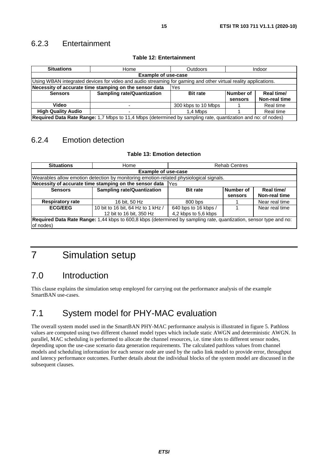### <span id="page-14-0"></span>6.2.3 Entertainment

| <b>Situations</b>                                                                                              | Home                              | <b>Outdoors</b>     | Indoor    |               |
|----------------------------------------------------------------------------------------------------------------|-----------------------------------|---------------------|-----------|---------------|
|                                                                                                                | <b>Example of use-case</b>        |                     |           |               |
| Using WBAN integrated devices for video and audio streaming for gaming and other virtual reality applications. |                                   |                     |           |               |
| Necessity of accurate time stamping on the sensor data<br>Yes                                                  |                                   |                     |           |               |
| <b>Sensors</b>                                                                                                 | <b>Sampling rate/Quantization</b> | <b>Bit rate</b>     | Number of | Real time/    |
|                                                                                                                |                                   |                     | sensors   | Non-real time |
| Video                                                                                                          |                                   | 300 kbps to 10 Mbps |           | Real time     |
| <b>High Quality Audio</b>                                                                                      | 1.4 Mbps                          |                     | Real time |               |
| Required Data Rate Range: 1,7 Mbps to 11,4 Mbps (determined by sampling rate, quantization and no: of nodes)   |                                   |                     |           |               |

#### **Table 12: Entertainment**

## 6.2.4 Emotion detection

#### **Table 13: Emotion detection**

| <b>Situations</b>                                                                                                              | Home                                                                                   | <b>Rehab Centres</b>                         |                      |                             |  |  |
|--------------------------------------------------------------------------------------------------------------------------------|----------------------------------------------------------------------------------------|----------------------------------------------|----------------------|-----------------------------|--|--|
|                                                                                                                                | <b>Example of use-case</b>                                                             |                                              |                      |                             |  |  |
|                                                                                                                                | Wearables allow emotion detection by monitoring emotion-related physiological signals. |                                              |                      |                             |  |  |
| Necessity of accurate time stamping on the sensor data<br>Yes                                                                  |                                                                                        |                                              |                      |                             |  |  |
| <b>Sensors</b>                                                                                                                 | <b>Sampling rate/Quantization</b>                                                      | <b>Bit rate</b>                              | Number of<br>sensors | Real time/<br>Non-real time |  |  |
| <b>Respiratory rate</b>                                                                                                        | 16 bit, 50 Hz                                                                          | 800 bps                                      |                      | Near real time              |  |  |
| <b>ECG/EEG</b>                                                                                                                 | 10 bit to 16 bit, 64 Hz to 1 kHz /<br>12 bit to 16 bit, 350 Hz                         | 640 bps to 16 kbps /<br>4,2 kbps to 5,6 kbps |                      | Near real time              |  |  |
| Required Data Rate Range: 1,44 kbps to 600,8 kbps (determined by sampling rate, quantization, sensor type and no:<br>of nodes) |                                                                                        |                                              |                      |                             |  |  |

# 7 Simulation setup

# 7.0 Introduction

This clause explains the simulation setup employed for carrying out the performance analysis of the example SmartBAN use-cases.

# 7.1 System model for PHY-MAC evaluation

The overall system model used in the SmartBAN PHY-MAC performance analysis is illustrated in figure 5. Pathloss values are computed using two different channel model types which include static AWGN and deterministic AWGN. In parallel, MAC scheduling is performed to allocate the channel resources, i.e. time slots to different sensor nodes, depending upon the use-case scenario data generation requirements. The calculated pathloss values from channel models and scheduling information for each sensor node are used by the radio link model to provide error, throughput and latency performance outcomes. Further details about the individual blocks of the system model are discussed in the subsequent clauses.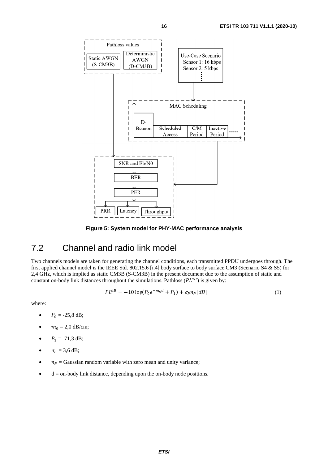<span id="page-15-0"></span>

**Figure 5: System model for PHY-MAC performance analysis** 

# 7.2 Channel and radio link model

Two channels models are taken for generating the channel conditions, each transmitted PPDU undergoes through. The first applied channel model is the IEEE Std. 802.15.6 [\[i.4](#page-4-0)] body surface to body surface CM3 (Scenario S4 & S5) for 2,4 GHz, which is implied as static CM3B (S-CM3B) in the present document due to the assumption of static and constant on-body link distances throughout the simulations. Pathloss ( $PL^{dB}$ ) is given by:

$$
PL^{dB} = -10 \log(P_0 e^{-m_0 d} + P_1) + \sigma_p n_p [dB]
$$
 (1)

where:

- $P_0 = -25.8 \text{ dB};$
- $m_0 = 2.0$  dB/cm;
- $P_1 = -71,3$  dB;
- $\sigma_P = 3.6 \text{ dB};$
- $n_p =$  Gaussian random variable with zero mean and unity variance;
- $\bullet$  d = on-body link distance, depending upon the on-body node positions.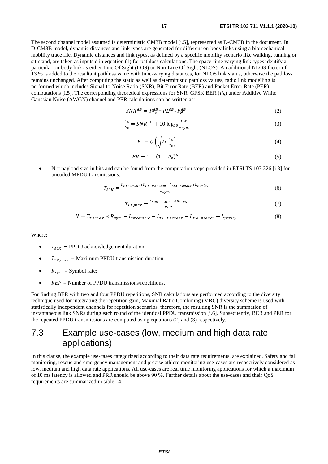<span id="page-16-0"></span>The second channel model assumed is deterministic CM3B model [\[i.5](#page-4-0)], represented as D-CM3B in the document. In D-CM3B model, dynamic distances and link types are generated for different on-body links using a biomechanical mobility trace file. Dynamic distances and link types, as defined by a specific mobility scenario like walking, running or sit-stand, are taken as inputs d in equation (1) for pathloss calculations. The space-time varying link types identify a particular on-body link as either Line Of Sight (LOS) or Non-Line Of Sight (NLOS). An additional NLOS factor of 13 % is added to the resultant pathloss value with time-varying distances, for NLOS link status, otherwise the pathloss remains unchanged. After computing the static as well as deterministic pathloss values, radio link modelling is performed which includes Signal-to-Noise Ratio (SNR), Bit Error Rate (BER) and Packet Error Rate (PER) computations [\[i.5](#page-4-0)]. The corresponding theoretical expressions for SNR, GFSK BER  $(P_h)$  under Additive White Gaussian Noise (AWGN) channel and PER calculations can be written as:

$$
SNR^{dB} = P_{Tx}^{dB} + PL^{dB} - P_N^{dB}
$$
\n
$$
(2)
$$

$$
\frac{E_b}{N_0} = SNR^{dB} + 10\log_{10}\frac{BW}{R_{sym}}
$$
\n(3)

$$
P_b = Q\left(\sqrt{2\epsilon \frac{E_b}{N_0}}\right) \tag{4}
$$

$$
ER = 1 - (1 - P_b)^N
$$
 (5)

 $N =$  payload size in bits and can be found from the computation steps provided in ETSI TS 103 326 [[i.3](#page-4-0)] for uncoded MPDU transmissions:

$$
T_{ACK} = \frac{L_{preample} + L_{PLCP header} + L_{MACheader} + L_{parity}}{R_{sym}}
$$
(6)

$$
T_{TX,max} = \frac{T_{slot} - T_{ACK} - 2 \times T_{IFS}}{_{REF}}
$$
\n
$$
\tag{7}
$$

$$
N = T_{TX,max} \times R_{sym} - L_{preample} - L_{PLCPheader} - L_{MACheader} - L_{parity}
$$
\n(8)

Where:

- $T_{ACK}$  = PPDU acknowledgement duration;
- $T_{TXmax}$  = Maximum PPDU transmission duration;
- $R_{sym}$  = Symbol rate;
- $REP =$  Number of PPDU transmissions/repetitions.

For finding BER with two and four PPDU repetitions, SNR calculations are performed according to the diversity technique used for integrating the repetition gain, Maximal Ratio Combining (MRC) diversity scheme is used with statistically independent channels for repetition scenarios, therefore, the resulting SNR is the summation of instantaneous link SNRs during each round of the identical PPDU transmission [\[i.6\]](#page-4-0). Subsequently, BER and PER for the repeated PPDU transmissions are computed using equations (2) and (3) respectively.

# 7.3 Example use-cases (low, medium and high data rate applications)

In this clause, the example use-cases categorized according to their data rate requirements, are explained. Safety and fall monitoring, rescue and emergency management and precise athlete monitoring use-cases are respectively considered as low, medium and high data rate applications. All use-cases are real time monitoring applications for which a maximum of 10 ms latency is allowed and PRR should be above 90 %. Further details about the use-cases and their QoS requirements are summarized in table 14.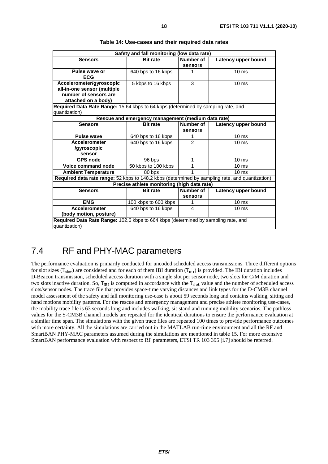<span id="page-17-0"></span>

| Safety and fall monitoring (low data rate)                                                      |                                                    |                |                     |  |
|-------------------------------------------------------------------------------------------------|----------------------------------------------------|----------------|---------------------|--|
| <b>Sensors</b>                                                                                  | <b>Bit rate</b>                                    | Number of      | Latency upper bound |  |
|                                                                                                 |                                                    | sensors        |                     |  |
| Pulse wave or                                                                                   | 640 bps to 16 kbps                                 | 1              | $10 \text{ ms}$     |  |
| <b>ECG</b>                                                                                      |                                                    |                |                     |  |
| Accelerometer/gyroscopic                                                                        | 5 kbps to 16 kbps                                  | 3              | $10 \text{ ms}$     |  |
| all-in-one sensor (multiple                                                                     |                                                    |                |                     |  |
| number of sensors are                                                                           |                                                    |                |                     |  |
| attached on a body)                                                                             |                                                    |                |                     |  |
| Required Data Rate Range: 15,64 kbps to 64 kbps (determined by sampling rate, and               |                                                    |                |                     |  |
| quantization)                                                                                   |                                                    |                |                     |  |
|                                                                                                 | Rescue and emergency management (medium data rate) |                |                     |  |
| <b>Sensors</b>                                                                                  | <b>Bit rate</b>                                    | Number of      | Latency upper bound |  |
|                                                                                                 |                                                    | sensors        |                     |  |
| <b>Pulse wave</b>                                                                               | 640 bps to 16 kbps                                 | 1              | 10 <sub>ms</sub>    |  |
| <b>Accelerometer</b>                                                                            | 640 bps to 16 kbps                                 | $\mathfrak{p}$ | 10 <sub>ms</sub>    |  |
| /gyroscopic                                                                                     |                                                    |                |                     |  |
| sensor                                                                                          |                                                    |                |                     |  |
| <b>GPS node</b>                                                                                 | 96 bps                                             | 1              | $10 \text{ ms}$     |  |
| <b>Voice command node</b>                                                                       | 50 kbps to 100 kbps                                | 1              | 10 <sub>ms</sub>    |  |
| <b>Ambient Temperature</b>                                                                      | 80 bps                                             |                | $10 \text{ ms}$     |  |
| Required data rate range: 52 kbps to 148,2 kbps (determined by sampling rate, and quantization) |                                                    |                |                     |  |
|                                                                                                 | Precise athlete monitoring (high data rate)        |                |                     |  |
| <b>Sensors</b>                                                                                  | <b>Bit rate</b>                                    | Number of      | Latency upper bound |  |
|                                                                                                 |                                                    | sensors        |                     |  |
| <b>EMG</b>                                                                                      | 100 kbps to 600 kbps                               | 1              | 10 <sub>ms</sub>    |  |
| <b>Accelerometer</b>                                                                            | 640 bps to 16 kbps                                 | 4              | 10 <sub>ms</sub>    |  |
| (body motion, posture)                                                                          |                                                    |                |                     |  |
| Required Data Rate Range: 102,6 kbps to 664 kbps (determined by sampling rate, and              |                                                    |                |                     |  |
| lguantization)                                                                                  |                                                    |                |                     |  |

# 7.4 RF and PHY-MAC parameters

The performance evaluation is primarily conducted for uncoded scheduled access transmissions. Three different options for slot sizes ( $T_{slot}$ ) are considered and for each of them IBI duration ( $T_{HR1}$ ) is provided. The IBI duration includes D-Beacon transmission, scheduled access duration with a single slot per sensor node, two slots for C/M duration and two slots inactive duration. So,  $T_{IBI}$  is computed in accordance with the  $T_{slot}$  value and the number of scheduled access slots/sensor nodes. The trace file that provides space-time varying distances and link types for the D-CM3B channel model assessment of the safety and fall monitoring use-case is about 59 seconds long and contains walking, sitting and hand motions mobility patterns. For the rescue and emergency management and precise athlete monitoring use-cases, the mobility trace file is 63 seconds long and includes walking, sit-stand and running mobility scenarios. The pathloss values for the S-CM3B channel models are repeated for the identical durations to ensure the performance evaluation at a similar time span. The simulations with the given trace files are repeated 100 times to provide performance outcomes with more certainty. All the simulations are carried out in the MATLAB run-time environment and all the RF and SmartBAN PHY-MAC parameters assumed during the simulations are mentioned in table 15. For more extensive SmartBAN performance evaluation with respect to RF parameters, ETSI TR 103 395 [[i.7\]](#page-4-0) should be referred.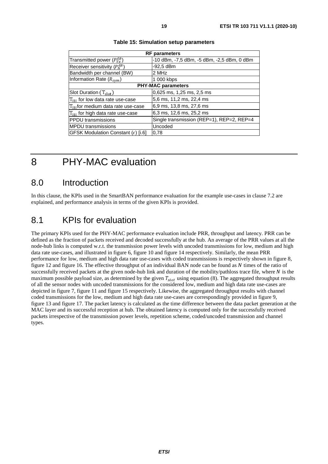<span id="page-18-0"></span>

| <b>RF</b> parameters                          |                                            |  |  |
|-----------------------------------------------|--------------------------------------------|--|--|
| Transmitted power ( $P_{Tx}^{dB}$ )           | -10 dBm, -7,5 dBm, -5 dBm, -2,5 dBm, 0 dBm |  |  |
| Receiver sensitivity $(P_{N}^{dB})$           | $-92.5$ dBm                                |  |  |
| Bandwidth per channel (BW)                    | 2 MHz                                      |  |  |
| Information Rate $(R_{sym})$                  | 1 000 kbps                                 |  |  |
| <b>PHY-MAC parameters</b>                     |                                            |  |  |
| Slot Duration $(T_{slot})$                    | 0,625 ms, 1,25 ms, 2,5 ms                  |  |  |
| $T_{IBI}$ for low data rate use-case          | 5,6 ms, 11,2 ms, 22,4 ms                   |  |  |
| $T_{\text{BH}}$ for medium data rate use-case | 6,9 ms, 13,8 ms, 27,6 ms                   |  |  |
| $T_{\text{BH}}$ for high data rate use-case   | 6,3 ms, 12,6 ms, 25,2 ms                   |  |  |
| <b>PPDU</b> transmissions                     | Single transmission (REP=1), REP=2, REP=4  |  |  |
| <b>MPDU</b> transmissions                     | Uncoded                                    |  |  |
| GFSK Modulation Constant $(\epsilon)$ [i.6]   | 0,78                                       |  |  |
|                                               |                                            |  |  |

#### **Table 15: Simulation setup parameters**

# 8 PHY-MAC evaluation

### 8.0 Introduction

In this clause, the KPIs used in the SmartBAN performance evaluation for the example use-cases in clause 7.2 are explained, and performance analysis in terms of the given KPIs is provided.

# 8.1 KPIs for evaluation

The primary KPIs used for the PHY-MAC performance evaluation include PRR, throughput and latency. PRR can be defined as the fraction of packets received and decoded successfully at the hub. An average of the PRR values at all the node-hub links is computed w.r.t. the transmission power levels with uncoded transmissions for low, medium and high data rate use-cases, and illustrated in figure 6, figure 10 and figure 14 respectively. Similarly, the mean PRR performance for low, medium and high data rate use-cases with coded transmissions is respectively shown in figure 8, figure 12 and figure 16. The effective throughput of an individual BAN node can be found as  $N$  times of the ratio of successfully received packets at the given node-hub link and duration of the mobility/pathloss trace file, where  $N$  is the maximum possible payload size, as determined by the given  $T_{slot}$  using equation (8). The aggregated throughput results of all the sensor nodes with uncoded transmissions for the considered low, medium and high data rate use-cases are depicted in figure 7, figure 11 and figure 15 respectively. Likewise, the aggregated throughput results with channel coded transmissions for the low, medium and high data rate use-cases are correspondingly provided in figure 9, figure 13 and figure 17. The packet latency is calculated as the time difference between the data packet generation at the MAC layer and its successful reception at hub. The obtained latency is computed only for the successfully received packets irrespective of the transmission power levels, repetition scheme, coded/uncoded transmission and channel types.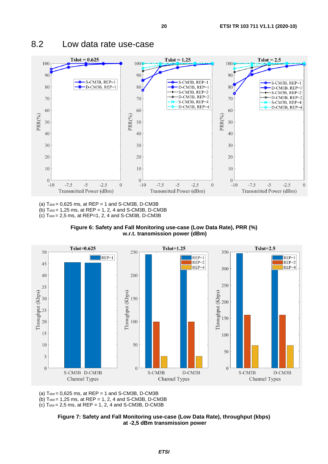

### <span id="page-19-0"></span>8.2 Low data rate use-case

(a)  $T_{slot} = 0.625$  ms, at  $REP = 1$  and S-CM3B, D-CM3B

(b) Tslot = 1,25 ms, at REP = 1, 2, 4 and S-CM3B, D-CM3B

(c)  $T<sub>slot</sub> = 2,5$  ms, at REP=1, 2, 4 and S-CM3B, D-CM3B





(a)  $T<sub>slot</sub> = 0,625$  ms, at  $REP = 1$  and S-CM3B, D-CM3B

(b)  $T_{slot} = 1,25$  ms, at  $REP = 1, 2, 4$  and S-CM3B, D-CM3B

(c)  $T_{slot} = 2.5$  ms, at  $REP = 1, 2, 4$  and S-CM3B, D-CM3B

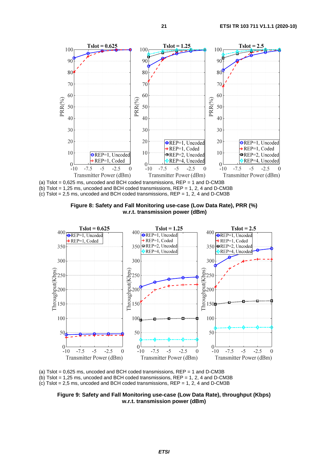

(a)  $T$ slot = 0,625 ms, uncoded and BCH coded transmissions,  $REP = 1$  and D-CM3B (b) Tslot = 1,25 ms, uncoded and BCH coded transmissions,  $REP = 1$ , 2, 4 and D-CM3B (c) Tslot = 2,5 ms, uncoded and BCH coded transmissions, REP = 1, 2, 4 and D-CM3B





(a) Tslot =  $0.625$  ms, uncoded and BCH coded transmissions,  $REP = 1$  and D-CM3B (b) Tslot = 1.25 ms, uncoded and BCH coded transmissions,  $REP = 1, 2, 4$  and D-CM3B  $(c)$  Tslot = 2,5 ms, uncoded and BCH coded transmissions, REP = 1, 2, 4 and D-CM3B

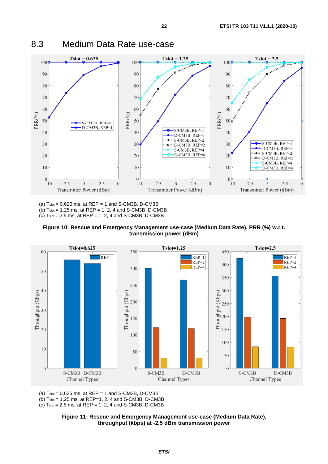

<span id="page-21-0"></span>8.3 Medium Data Rate use-case

(a)  $T_{slot} = 0.625$  ms, at  $REP = 1$  and S-CM3B, D-CM3B (b)  $T_{slot} = 1,25$  ms, at  $REP = 1, 2, 4$  and S-CM3B, D-CM3B

 $(c)$  Tslot = 2,5 ms, at REP = 1, 2, 4 and S-CM3B, D-CM3B





(a)  $T_{slot} = 0,625$  ms, at  $REP = 1$  and S-CM3B, D-CM3B

(b) Tslot = 1,25 ms, at REP=1, 2, 4 and S-CM3B, D-CM3B

(c)  $T_{slot} = 2.5$  ms, at  $REP = 1, 2, 4$  and S-CM3B, D-CM3B

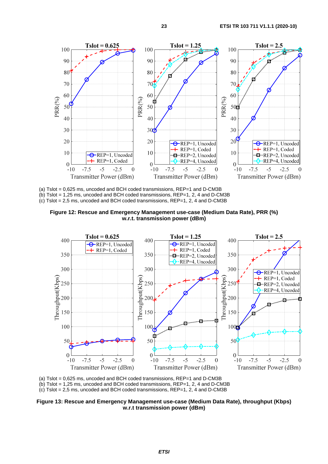

(a) Tslot = 0,625 ms, uncoded and BCH coded transmissions, REP=1 and D-CM3B (b) Tslot = 1,25 ms, uncoded and BCH coded transmissions, REP=1, 2, 4 and D-CM3B (c) Tslot = 2,5 ms, uncoded and BCH coded transmissions, REP=1, 2, 4 and D-CM3B





(a) Tslot = 0,625 ms, uncoded and BCH coded transmissions, REP=1 and D-CM3B  $(h)$  Tslot = 1,25 ms, uncoded and BCH coded transmissions, REP=1, 2, 4 and D-CM3B  $(c)$  Tslot = 2,5 ms, uncoded and BCH coded transmissions, REP=1, 2, 4 and D-CM3B

**Figure 13: Rescue and Emergency Management use-case (Medium Data Rate), throughput (Kbps) w.r.t transmission power (dBm)**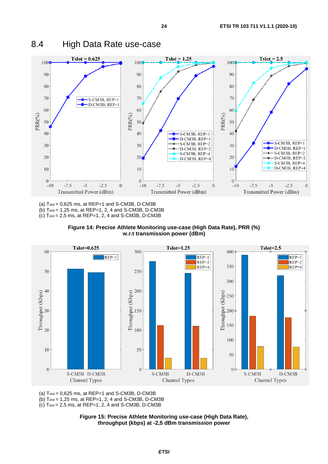

<span id="page-23-0"></span>8.4 High Data Rate use-case

(a)  $T_{slot} = 0.625$  ms, at  $REP=1$  and S-CM3B, D-CM3B

(b) Tslot = 1,25 ms, at REP=1, 2, 4 and S-CM3B, D-CM3B  $(c)$  Tslot = 2,5 ms, at REP=1, 2, 4 and S-CM3B, D-CM3B





(a)  $T<sub>slot</sub> = 0,625$  ms, at  $REP=1$  and S-CM3B, D-CM3B

(b) Tslot = 1,25 ms, at REP=1, 2, 4 and S-CM3B, D-CM3B

 $(c)$  T<sub>slot</sub> = 2,5 ms, at REP=1, 2, 4 and S-CM3B, D-CM3B

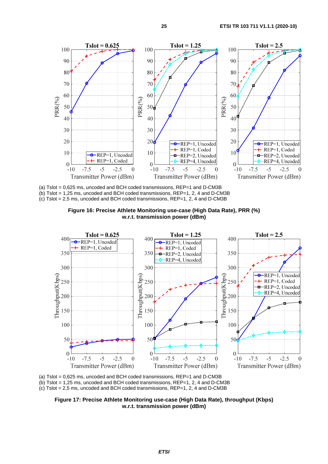

(a) Tslot = 0,625 ms, uncoded and BCH coded transmissions, REP=1 and D-CM3B (b) Tslot = 1,25 ms, uncoded and BCH coded transmissions, REP=1, 2, 4 and D-CM3B (c) Tslot = 2,5 ms, uncoded and BCH coded transmissions, REP=1, 2, 4 and D-CM3B





(a) Tslot = 0,625 ms, uncoded and BCH coded transmissions, REP=1 and D-CM3B  $(h)$  Tslot = 1,25 ms, uncoded and BCH coded transmissions, REP=1, 2, 4 and D-CM3B  $(c)$  Tslot = 2,5 ms, uncoded and BCH coded transmissions, REP=1, 2, 4 and D-CM3B

**Figure 17: Precise Athlete Monitoring use-case (High Data Rate), throughput (Kbps) w.r.t. transmission power (dBm)**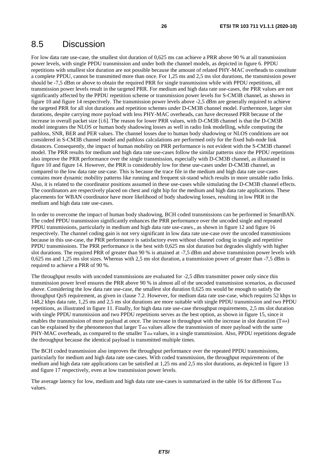### <span id="page-25-0"></span>8.5 Discussion

For low data rate use-case, the smallest slot duration of 0,625 ms can achieve a PRR above 90 % at all transmission power levels, with single PPDU transmission and under both the channel models, as depicted in figure 6. PPDU repetitions with smallest slot duration are not possible because the amount of related PHY-MAC overheads to constitute a complete PPDU, cannot be transmitted more than once. For 1,25 ms and 2,5 ms slot durations, the transmission power should be -7,5 dBm or above to obtain the required PRR for single transmission while with PPDU repetitions, all transmission power levels result in the targeted PRR. For medium and high data rate use-cases, the PRR values are not significantly affected by the PPDU repetition scheme or transmission power levels for S-CM3B channel, as shown in figure 10 and figure 14 respectively. The transmission power levels above -2,5 dBm are generally required to achieve the targeted PRR for all slot durations and repetition schemes under D-CM3B channel model. Furthermore, larger slot durations, despite carrying more payload with less PHY-MAC overheads, can have decreased PRR because of the increase in overall packet size [\[i.6](#page-4-0)]. The reason for lower PRR values, with D-CM3B channel is that the D-CM3B model integrates the NLOS or human body shadowing losses as well in radio link modelling, while computing the pathloss, SNR, BER and PER values. The channel losses due to human body shadowing or NLOS conditions are not considered in S-CM3B channel model and pathloss calculations are performed only for the fixed hub-node link distances. Consequently, the impact of human mobility on PRR performance is not evident with the S-CM3B channel model. The PRR results for medium and high data rate use-cases follow the similar patterns since the PPDU repetitions also improve the PRR performance over the single transmission, especially with D-CM3B channel, as illustrated in figure 10 and figure 14. However, the PRR is considerably low for these use-cases under D-CM3B channel, as compared to the low data rate use-case. This is because the trace file in the medium and high data rate use-cases contains more dynamic mobility patterns like running and frequent sit-stand which results in more unstable radio links. Also, it is related to the coordinator positions assumed in these use-cases while simulating the D-CM3B channel effects. The coordinators are respectively placed on chest and right hip for the medium and high data rate applications. These placements for WBAN coordinator have more likelihood of body shadowing losses, resulting in low PRR in the medium and high data rate use-cases.

In order to overcome the impact of human body shadowing, BCH coded transmissions can be performed in SmartBAN. The coded PPDU transmission significantly enhances the PRR performance over the uncoded single and repeated PPDU transmissions, particularly in medium and high data rate use-cases., as shown in figure 12 and figure 16 respectively. The channel coding gain is not very significant in low data rate use-case over the uncoded transmissions because in this use-case, the PRR performance is satisfactory even without channel coding in single and repetitive PPDU transmissions. The PRR performance is the best with 0,625 ms slot duration but degrades slightly with higher slot durations. The required PRR of greater than 90 % is attained at -7,5 dBm and above transmission power levels with 0,625 ms and 1,25 ms slot sizes. Whereas with 2,5 ms slot duration, a transmission power of greater than -7,5 dBm is required to achieve a PRR of 90 %.

The throughput results with uncoded transmissions are evaluated for -2,5 dBm transmitter power only since this transmission power level ensures the PRR above 90 % in almost all of the uncoded transmission scenarios, as discussed above. Considering the low data rate use-case, the smallest slot duration 0,625 ms would be enough to satisfy the throughput QoS requirement, as given in clause 7.2. However, for medium data rate use-case, which requires 52 kbps to 148,2 kbps data rate, 1,25 ms and 2,5 ms slot durations are more suitable with single PPDU transmission and two PPDU repetitions, as illustrated in figure 11. Finally, for high data rate use-case throughput requirements, 2,5 ms slot duration with single PPDU transmission and two PPDU repetitions serves as the best option, as shown in figure 15, since it enables the transmission of more payload at once. The increase in throughput with the increase in slot duration (Tslot) can be explained by the phenomenon that larger Tslot values allow the transmission of more payload with the same PHY-MAC overheads, as compared to the smaller Tslot values, in a single transmission. Also, PPDU repetitions degrade the throughput because the identical payload is transmitted multiple times.

The BCH coded transmission also improves the throughput performance over the repeated PPDU transmissions, particularly for medium and high data rate use-cases. With coded transmission, the throughput requirements of the medium and high data rate applications can be satisfied at 1,25 ms and 2,5 ms slot durations, as depicted in figure 13 and figure 17 respectively, even at low transmission power levels.

The average latency for low, medium and high data rate use-cases is summarized in the table 16 for different Tslot values.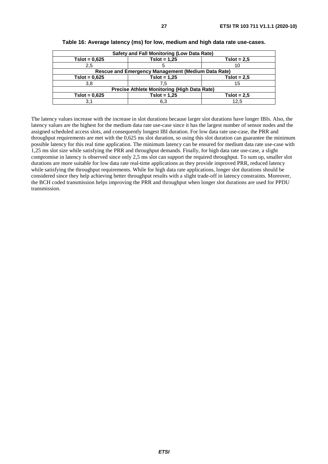| <b>Safety and Fall Monitoring (Low Data Rate)</b> |                                                           |               |  |
|---------------------------------------------------|-----------------------------------------------------------|---------------|--|
| $Tslot = 0.625$                                   | $Tslot = 1.25$                                            | $Tslot = 2.5$ |  |
| 2,5                                               |                                                           | 10            |  |
|                                                   | <b>Rescue and Emergency Management (Medium Data Rate)</b> |               |  |
| $Tslot = 0.625$                                   | $Tslot = 1,25$                                            | $Tslot = 2.5$ |  |
| 3,8                                               | 7.5                                                       | 15            |  |
| Precise Athlete Monitoring (High Data Rate)       |                                                           |               |  |
| $Tslot = 0.625$                                   | $Tslot = 1.25$                                            | $Tslot = 2.5$ |  |
| 3.1                                               | 6,3                                                       | 12.5          |  |

**Table 16: Average latency (ms) for low, medium and high data rate use-cases.**

The latency values increase with the increase in slot durations because larger slot durations have longer IBIs. Also, the latency values are the highest for the medium data rate use-case since it has the largest number of sensor nodes and the assigned scheduled access slots, and consequently longest IBI duration. For low data rate use-case, the PRR and throughput requirements are met with the 0,625 ms slot duration, so using this slot duration can guarantee the minimum possible latency for this real time application. The minimum latency can be ensured for medium data rate use-case with 1,25 ms slot size while satisfying the PRR and throughput demands. Finally, for high data rate use-case, a slight compromise in latency is observed since only 2,5 ms slot can support the required throughput. To sum up, smaller slot durations are more suitable for low data rate real-time applications as they provide improved PRR, reduced latency while satisfying the throughput requirements. While for high data rate applications, longer slot durations should be considered since they help achieving better throughput results with a slight trade-off in latency constraints. Moreover, the BCH coded transmission helps improving the PRR and throughput when longer slot durations are used for PPDU transmission.

#### *ETSI*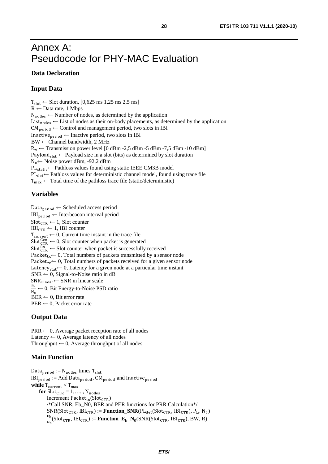# <span id="page-27-0"></span>Annex A: Pseudocode for PHY-MAC Evaluation

#### **Data Declaration**

### **Input Data**

 $T_{slot} \leftarrow$  Slot duration, [0,625 ms 1,25 ms 2,5 ms]  $R \leftarrow$  Data rate, 1 Mbps  $N_{nodes} \leftarrow$  Number of nodes, as determined by the application  $N_{nodes} \leftarrow$  Number of nodes, as determined by the application List  $_{nodes} \leftarrow$  List of nodes as their on-body placements, as determined List<sub>nodes</sub>  $\leftarrow$  List of nodes as their on-body placements, as determined by the application CM<sub>period</sub>  $\leftarrow$  Control and management period, two slots in IBI  $CM_{\text{period}} \leftarrow$  Control and management period, two slots in IBI Inactive<sub>period</sub>  $\leftarrow$  Inactive period, two slots in IBI<br>BW  $\leftarrow$  Channel bandwidth, 2 MHz  $BW \leftarrow$  Channel bandwidth, 2 MHz  $P_{tx}$  ← Transmission power level [0 dBm -2,5 dBm -5 dBm -7,5 dBm -10 dBm]  $P_{tx}$  ← Transmission power level [0 dBm -2,5 dBm -5 dBm -7,5 dBm -10 dBm]<br>Payload<sub>slot</sub> ← Payload size in a slot (bits) as determined by slot duration<br>N<sub>0</sub>← Noise power dBm, -92,2 dBm N<sub>0</sub> ← Noise power dBm, -92,2 dBm<br>PL<sub>static</sub> ← Pathloss values found usir  $PL_{static} \leftarrow$  Pathloss values found using static IEEE CM3B model<br> $PL_{det} \leftarrow$  Pathloss values for deterministic channel model, found u  $T_{\text{max}} \leftarrow$  Total time of the pathloss trace file (static/deterministic)  $PL_{\text{det}} \leftarrow$  Pathloss values for deterministic channel model, found using trace file

#### **Variables**

Data<sub>period</sub>  $\leftarrow$  Scheduled access period<br>IBI<sub>period</sub>  $\leftarrow$  Interbeacon interval period  $Slot_{CTR} \leftarrow 1$ , Slot counter  $IBI<sub>period</sub> \leftarrow Interbeacon interval period$  $Slot_{CTR} \leftarrow 1$ , Slot counter<br>IBI<sub>CTR</sub> ← 1, IBI counter  $IBI_{CTR}$  ← 1, IBI counter<br>T<sub>current</sub> ← 0, Current tim  $T_{\text{current}} \leftarrow 0$ , Current time instant in the trace file<br>Slot<sup>Gen</sup>  $\leftarrow 0$ , Slot counter when packet is generated<br>Slot $_{\text{CTR}}^{\text{Rx}} \leftarrow$  Slot counter when packet is successfully Slot $_{\text{CTR}}^{\text{RX}}$   $\leftarrow$  Slot counter when packet is successfully received Packet<sub>tx</sub>  $\leftarrow$  0, Total numbers of packets transmitted by a sens Packet<sub>tx</sub> ← 0, Total numbers of packets transmitted by a sensor node<br>Packet<sub>rx</sub> ← 0, Total numbers of packets received for a given sensor node Packet<sub>rx</sub>  $\leftarrow$  0, Total numbers of packets received for a given sensor node<br>Latency<sub>stat</sub>  $\leftarrow$  0, Latency for a given node at a particular time instant Latency<sub>stat</sub>  $\leftarrow$  0, Latency for a given node at a particular time instant SNR  $\leftarrow$  0, Signal-to-Noise ratio in dB SNR  $\leftarrow$  0, Signal-to-Noise ratio in dB<br>SNR<sub>Linear</sub> $\leftarrow$  SNR in linear scale  $SNR_{Linear} \leftarrow SNR$  in linear scale<br>  $\frac{E_b}{N_0} \leftarrow 0$ , Bit Energy-to-Noise PSD ratio<br>
BER  $\leftarrow 0$ . Bit error rate n<sub>0</sub><br>BER  $BER \leftarrow 0$ , Bit error rate<br>PER  $\leftarrow 0$ , Packet error rate

### **Output Data**

 $PRR \leftarrow 0$ , Average packet reception rate of all nodes PRR ← 0, Average packet reception rate of all nodes<br>Latency ← 0, Average latency of all nodes Latency ← 0, Average latency of all nodes<br>Throughput ← 0, Average throughput of all nodes

#### **Main Function**

Data<sub>period</sub> :=  $N_{\text{nodes}}$  times  $T_{\text{sl}}$  $\frac{1}{2}$  $IBI<sub>period</sub> := Add Data<sub>period</sub>, CM<sub>period</sub> and Inactive<sub>period</sub>$ **while**  $T_{\text{current}} < T_{\text{max}}$ **for**  $Slot_{CTR} = 1, \ldots, N_{nodes}$ <br> *Increased*  $R_{s}$  destributed **Increment Packet<sub>tx</sub>**(Slot<sub>CTR</sub>) /\*Call SNR, Eb\_N0, BER and PER functions for PRR Calculation\*/  $\text{SNR}(\text{Slot}_{\text{CTR}}, \text{IBI}_{\text{CTR}}) := \text{Function\_SNR}(\text{PL}_{\text{det}}(\text{Slot}_{\text{CTR}}, \text{IBI}_{\text{CTR}}), P_{\text{tx}}, N_0)$  $rac{1}{N}$  $\frac{E_{\rm B}}{N_0}$ (Slot<sub>CTR</sub>, IBI<sub>CTR</sub>) := **Function\_E<sub>b</sub>\_N**<sub>0</sub>(SNR(Slot<sub>CTR</sub>, IBI<sub>CTR</sub>), BW, R)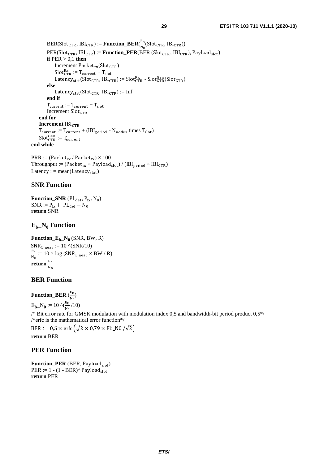$BER(Slot_{CTR}, IBI_{CTR}) := \textbf{Function\_BER}(\frac{E_D}{N_O}(Slot_{CTR}, IBI_{CTR}))$ PER(Slot<sub>CTR</sub>, IBI<sub>CTR</sub>) := **Function\_PER**(BER (Slot<sub>CTR</sub>, IBI<sub>CTR</sub>), Payload<sub>slot</sub>) **if**  $PER > 0.1$  **then**  $\text{Increment}$  Packet<sub>rx</sub>(Slot<sub>CTR</sub>)  $\text{Slot}_{\text{CTR}}^{\text{RX}} := \text{T}_{\text{current}} + \text{T}_{\text{sl}}$ Latency<sub>stat</sub>(Slot<sub>CTR</sub>, IBI<sub>CTR</sub>) := Slot<sub>CTR</sub> - Slot<sub>CTR</sub> (Slot<sub>CTR</sub>) **else**  Latency<sub>stat</sub>(Slot<sub>CTR</sub>,  $IBI_{CTR}$ ) := Inf **end if**   $T_{\text{current}} := T_{\text{current}} + T_{\text{slot}}$  Increment Slot  **end for Increment** IBI  $T_{\text{current}} := T_{\text{current}} + (IBI_{\text{period}} - N_{\text{nodes}} \times T_{\text{slot}})$ Slot **end while**  <sup>Gen</sup> := T<sub>current</sub><br>•ւ

 $PRR := (Packet_{rx} / Packet_{tx}) \times 100$ Throughput := (Packet<sub>rx</sub>  $\times$  Payload<sub>slot</sub>) / (IBI<sub>period</sub>  $\times$  IBI<sub>CTR</sub>) Latency : = mean(Latency<sub>stat</sub>)

### **SNR Function**

**Function\_SNR**  $(PL_{det}, P_{tx}, N_0)$  $SNR := P_{tx} + PL_{det} - N_0$ **return** SNR

### **Eb\_N0 Function**

**Function\_E<sub>b</sub>\_N<sub>0</sub> (SNR, BW, R)** ان<br>R<sub>h</sub>  $SNR$ <sub>Linear</sub> := 10  $\sqrt{(SNR/10)}$  $\frac{E_B}{N_0}$  := 10  $\times$  log (SNR<sub>Linear</sub>  $\times$  BW / R) n<sub>o</sub><br>return  $\frac{{\text{E}}_{\text{b}}}{{\text{v}}}$  $\ddot{\phantom{0}}$ 

### **BER Function**

**Function\_BER**  $\left(\frac{2b}{N}\right)$ 

 $E_{\mathbf{b}} = N_0 := 10 \sqrt{\frac{E_b}{N_0}} / 10$ 

<sup>/\*</sup> Bit error rate for GMSK modulation with modulation index 0,5 and bandwidth-bit period product 0,5<sup>\*</sup>/ /\*erfc is the mathematical error function\*/

 $BEN := 0,3 \times \text{CHC}$   $(\sqrt{2} \times 0,79 \times \text{ED}$  NO  $/ \sqrt{2}$ **return** BER

### **PER Function**

**Function\_PER** (BER, Payload  $_{slot}$ )  $PER := 1 - (1 - BER)^{\wedge} Payload_{slot}$ **return** PER